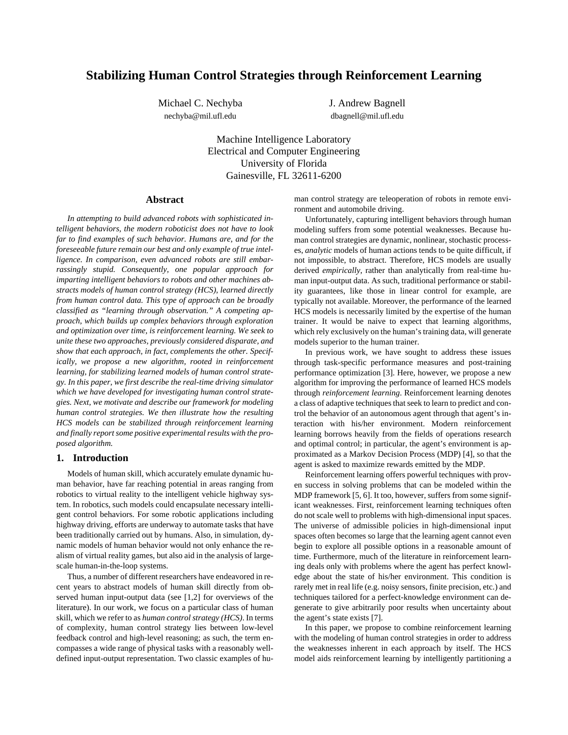# **Stabilizing Human Control Strategies through Reinforcement Learning**

Michael C. Nechyba **J. Andrew Bagnell** nechyba@mil.ufl.edu dbagnell@mil.ufl.edu

Machine Intelligence Laboratory Electrical and Computer Engineering University of Florida Gainesville, FL 32611-6200

# **Abstract**

*In attempting to build advanced robots with sophisticated intelligent behaviors, the modern roboticist does not have to look far to find examples of such behavior. Humans are, and for the foreseeable future remain our best and only example of true intelligence. In comparison, even advanced robots are still embarrassingly stupid. Consequently, one popular approach for imparting intelligent behaviors to robots and other machines abstracts models of human control strategy (HCS), learned directly from human control data. This type of approach can be broadly classified as "learning through observation." A competing approach, which builds up complex behaviors through exploration and optimization over time, is reinforcement learning. We seek to unite these two approaches, previously considered disparate, and show that each approach, in fact, complements the other. Specifically, we propose a new algorithm, rooted in reinforcement learning, for stabilizing learned models of human control strategy. In this paper, we first describe the real-time driving simulator which we have developed for investigating human control strategies. Next, we motivate and describe our framework for modeling human control strategies. We then illustrate how the resulting HCS models can be stabilized through reinforcement learning and finally report some positive experimental results with the proposed algorithm.*

# **1. Introduction**

Models of human skill, which accurately emulate dynamic human behavior, have far reaching potential in areas ranging from robotics to virtual reality to the intelligent vehicle highway system. In robotics, such models could encapsulate necessary intelligent control behaviors. For some robotic applications including highway driving, efforts are underway to automate tasks that have been traditionally carried out by humans. Also, in simulation, dynamic models of human behavior would not only enhance the realism of virtual reality games, but also aid in the analysis of largescale human-in-the-loop systems.

Thus, a number of different researchers have endeavored in recent years to abstract models of human skill directly from observed human input-output data (see [\[1,2\]](#page-8-0) for overviews of the literature). In our work, we focus on a particular class of human skill, which we refer to as *human control strategy (HCS)*. In terms of complexity, human control strategy lies between low-level feedback control and high-level reasoning; as such, the term encompasses a wide range of physical tasks with a reasonably welldefined input-output representation. Two classic examples of human control strategy are teleoperation of robots in remote environment and automobile driving.

Unfortunately, capturing intelligent behaviors through human modeling suffers from some potential weaknesses. Because human control strategies are dynamic, nonlinear, stochastic processes, *analytic* models of human actions tends to be quite difficult, if not impossible, to abstract. Therefore, HCS models are usually derived *empirically*, rather than analytically from real-time human input-output data. As such, traditional performance or stability guarantees, like those in linear control for example, are typically not available. Moreover, the performance of the learned HCS models is necessarily limited by the expertise of the human trainer. It would be naive to expect that learning algorithms, which rely exclusively on the human's training data, will generate models superior to the human trainer.

In previous work, we have sought to address these issues through task-specific performance measures and post-training performance optimization [\[3\].](#page-8-0) Here, however, we propose a new algorithm for improving the performance of learned HCS models through *reinforcement learning*. Reinforcement learning denotes a class of adaptive techniques that seek to learn to predict and control the behavior of an autonomous agent through that agent's interaction with his/her environment. Modern reinforcement learning borrows heavily from the fields of operations research and optimal control; in particular, the agent's environment is approximated as a Markov Decision Process (MDP) [\[4\],](#page-8-0) so that the agent is asked to maximize rewards emitted by the MDP.

Reinforcement learning offers powerful techniques with proven success in solving problems that can be modeled within the MDP framework [[5](#page-8-0), [6](#page-8-0)]. It too, however, suffers from some significant weaknesses. First, reinforcement learning techniques often do not scale well to problems with high-dimensional input spaces. The universe of admissible policies in high-dimensional input spaces often becomes so large that the learning agent cannot even begin to explore all possible options in a reasonable amount of time. Furthermore, much of the literature in reinforcement learning deals only with problems where the agent has perfect knowledge about the state of his/her environment. This condition is rarely met in real life (e.g. noisy sensors, finite precision, etc.) and techniques tailored for a perfect-knowledge environment can degenerate to give arbitrarily poor results when uncertainty about the agent's state exists [[7\].](#page-8-0)

In this paper, we propose to combine reinforcement learning with the modeling of human control strategies in order to address the weaknesses inherent in each approach by itself. The HCS model aids reinforcement learning by intelligently partitioning a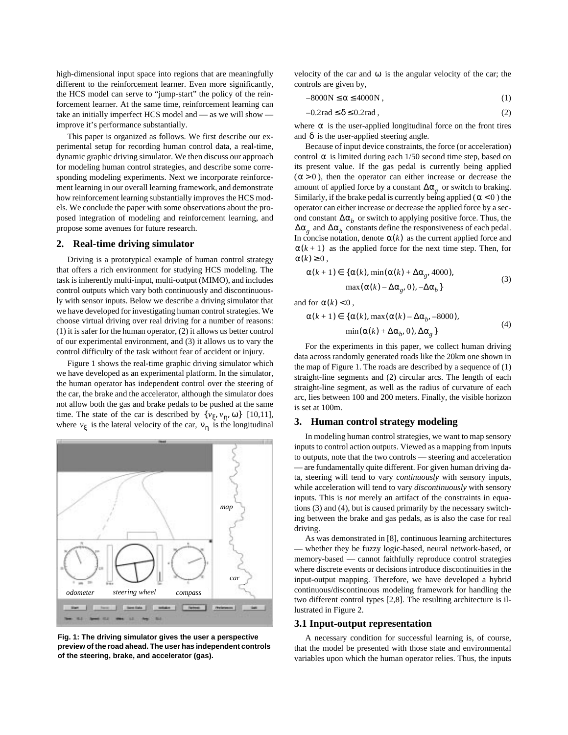<span id="page-1-0"></span>high-dimensional input space into regions that are meaningfully different to the reinforcement learner. Even more significantly, the HCS model can serve to "jump-start" the policy of the reinforcement learner. At the same time, reinforcement learning can take an initially imperfect HCS model and — as we will show improve it's performance substantially.

This paper is organized as follows. We first describe our experimental setup for recording human control data, a real-time, dynamic graphic driving simulator. We then discuss our approach for modeling human control strategies, and describe some corresponding modeling experiments. Next we incorporate reinforcement learning in our overall learning framework, and demonstrate how reinforcement learning substantially improves the HCS models. We conclude the paper with some observations about the proposed integration of modeling and reinforcement learning, and propose some avenues for future research.

#### **2. Real-time driving simulator**

Driving is a prototypical example of human control strategy that offers a rich environment for studying HCS modeling. The task is inherently multi-input, multi-output (MIMO), and includes control outputs which vary both continuously and discontinuously with sensor inputs. Below we describe a driving simulator that we have developed for investigating human control strategies. We choose virtual driving over real driving for a number of reasons: (1) it is safer for the human operator, (2) it allows us better control of our experimental environment, and (3) it allows us to vary the control difficulty of the task without fear of accident or injury.

Figure 1 shows the real-time graphic driving simulator which we have developed as an experimental platform. In the simulator, the human operator has independent control over the steering of the car, the brake and the accelerator, although the simulator does not allow both the gas and brake pedals to be pushed at the same time. The state of the car is described by  $\{v_{\xi}, v_{\eta}, \omega\}$  [\[10,11](#page-8-0)], where  $v_{\xi}$  is the lateral velocity of the car,  $v_{\eta}$  is the longitudinal



**Fig. 1: The driving simulator gives the user a perspective preview of the road ahead. The user has independent controls of the steering, brake, and accelerator (gas).**

velocity of the car and  $\omega$  is the angular velocity of the car; the controls are given by,

$$
-8000N \le \alpha \le 4000N ,\qquad (1)
$$

$$
-0.2\text{rad} \le \delta \le 0.2\text{rad},\tag{2}
$$

where  $\alpha$  is the user-applied longitudinal force on the front tires and  $\delta$  is the user-applied steering angle.

Because of input device constraints, the force (or acceleration) control  $\alpha$  is limited during each  $1/50$  second time step, based on its present value. If the gas pedal is currently being applied  $(\alpha > 0)$ , then the operator can either increase or decrease the amount of applied force by a constant  $\Delta \alpha_g$  or switch to braking. Similarly, if the brake pedal is currently being applied ( $\alpha$  < 0) the operator can either increase or decrease the applied force by a second constant  $\Delta \alpha_b$  or switch to applying positive force. Thus, the  $\Delta \alpha_g$  and  $\Delta \alpha_b$  constants define the responsiveness of each pedal. In concise notation, denote  $\alpha(k)$  as the current applied force and  $\alpha(k+1)$  as the applied force for the next time step. Then, for  $\alpha(k) \geq 0$ ,

$$
\alpha(k+1) \in \{ \alpha(k), \min(\alpha(k) + \Delta\alpha_g, 4000),
$$
  

$$
\max(\alpha(k) - \Delta\alpha_g, 0), -\Delta\alpha_b \}
$$
 (3)

and for  $\alpha(k) < 0$ ,

$$
\alpha(k+1) \in \{ \alpha(k), \max(\alpha(k) - \Delta\alpha_b, -8000),
$$
  
 
$$
\min(\alpha(k) + \Delta\alpha_b, 0), \Delta\alpha_g \}
$$
 (4)

For the experiments in this paper, we collect human driving data across randomly generated roads like the 20km one shown in the map of Figure 1. The roads are described by a sequence of (1) straight-line segments and (2) circular arcs. The length of each straight-line segment, as well as the radius of curvature of each arc, lies between 100 and 200 meters. Finally, the visible horizon is set at 100m.

#### **3. Human control strategy modeling**

In modeling human control strategies, we want to map sensory inputs to control action outputs. Viewed as a mapping from inputs to outputs, note that the two controls — steering and acceleration — are fundamentally quite different. For given human driving data, steering will tend to vary *continuously* with sensory inputs, while acceleration will tend to vary *discontinuously* with sensory inputs. This is *not* merely an artifact of the constraints in equations (3) and (4), but is caused primarily by the necessary switching between the brake and gas pedals, as is also the case for real driving.

As was demonstrated in [\[8\],](#page-8-0) continuous learning architectures whether they be fuzzy logic-based, neural network-based, or memory-based — cannot faithfully reproduce control strategies where discrete events or decisions introduce discontinuities in the input-output mapping. Therefore, we have developed a hybrid continuous/discontinuous modeling framework for handling the two different control types [[2,8\]](#page-8-0). The resulting architecture is illustrated in [Figure 2.](#page-2-0)

#### **3.1 Input-output representation**

A necessary condition for successful learning is, of course, that the model be presented with those state and environmental variables upon which the human operator relies. Thus, the inputs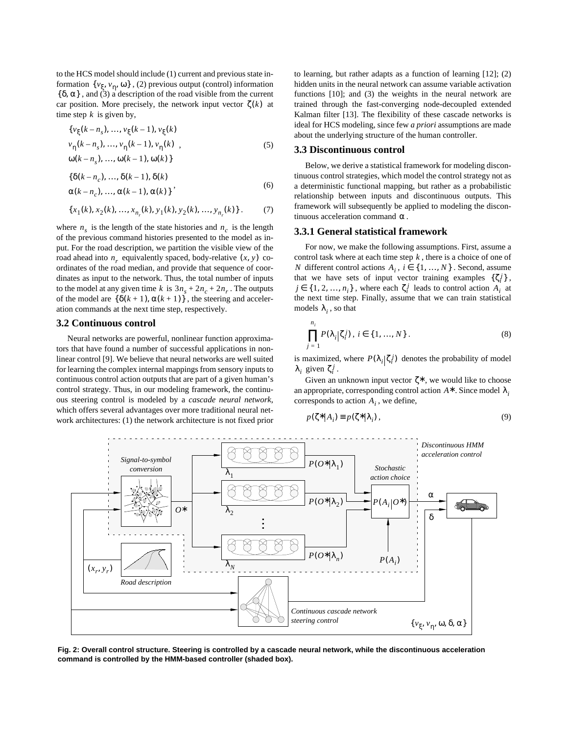<span id="page-2-0"></span>to the HCS model should include (1) current and previous state information {*v*<sub>ξ</sub>, *v*<sub>η</sub>, ω}, (2) previous output (control) information  $\{\delta, \alpha\}$ , and (3) a description of the road visible from the current car position. More precisely, the network input vector  $\zeta(k)$  at time step  $k$  is given by,

$$
\{v_{\xi}(k-n_s), ..., v_{\xi}(k-1), v_{\xi}(k) \n v_{\eta}(k-n_s), ..., v_{\eta}(k-1), v_{\eta}(k) ,\n \omega(k-n_s), ..., \omega(k-1), \omega(k) \}
$$
\n(5)

$$
\left\{\delta(k-n_c), \ldots, \delta(k-1), \delta(k) \right.\n \alpha(k-n_c), \ldots, \alpha(k-1), \alpha(k)\n \tag{6}
$$

$$
\{x_1(k), x_2(k), ..., x_{n_r}(k), y_1(k), y_2(k), ..., y_{n_r}(k)\}.
$$
 (7)

where  $n<sub>s</sub>$  is the length of the state histories and  $n<sub>c</sub>$  is the length of the previous command histories presented to the model as input. For the road description, we partition the visible view of the road ahead into  $n_r$  equivalently spaced, body-relative  $(x, y)$  coordinates of the road median, and provide that sequence of coordinates as input to the network. Thus, the total number of inputs to the model at any given time  $k$  is  $3n_s + 2n_c + 2n_r$ . The outputs of the model are  $\{\delta(k+1), \alpha(k+1)\}\,$ , the steering and acceleration commands at the next time step, respectively.

# **3.2 Continuous control**

Neural networks are powerful, nonlinear function approximators that have found a number of successful applications in nonlinear control [\[9\]](#page-8-0). We believe that neural networks are well suited for learning the complex internal mappings from sensory inputs to continuous control action outputs that are part of a given human's control strategy. Thus, in our modeling framework, the continuous steering control is modeled by a *cascade neural network*, which offers several advantages over more traditional neural network architectures: (1) the network architecture is not fixed prior to learning, but rather adapts as a function of learning [\[12\];](#page-8-0) (2) hidden units in the neural network can assume variable activation functions [\[10\];](#page-8-0) and (3) the weights in the neural network are trained through the fast-converging node-decoupled extended Kalman filter [\[13\].](#page-8-0) The flexibility of these cascade networks is ideal for HCS modeling, since few *a priori* assumptions are made about the underlying structure of the human controller.

# **3.3 Discontinuous control**

Below, we derive a statistical framework for modeling discontinuous control strategies, which model the control strategy not as a deterministic functional mapping, but rather as a probabilistic relationship between inputs and discontinuous outputs. This framework will subsequently be applied to modeling the discontinuous acceleration command  $\alpha$ .

# **3.3.1 General statistical framework**

For now, we make the following assumptions. First, assume a control task where at each time step  $k$ , there is a choice of one of *N* different control actions  $A_i$ ,  $i \in \{1, ..., N\}$ . Second, assume that we have sets of input vector training examples  $\{\zeta_i^j\}$ ,  $j \in \{1, 2, ..., n_i\}$ , where each  $\zeta_i^j$  leads to control action  $A_i$  at the next time step. Finally, assume that we can train statistical models  $\lambda_i$ , so that

$$
\prod_{j=1}^{n_i} P(\lambda_i | \zeta_i^j), i \in \{1, ..., N\}.
$$
 (8)

is maximized, where  $P(\lambda_i | \zeta_i^j)$  denotes the probability of model  $\lambda_i$  given  $\zeta_i^j$ .

Given an unknown input vector  $\zeta^*$ , we would like to choose an appropriate, corresponding control action  $A^*$  . Since model  $\lambda_i$ corresponds to action  $A_i$ , we define,

$$
p(\zeta^*|A_i) \equiv p(\zeta^*|\lambda_i), \qquad (9)
$$



**Fig. 2: Overall control structure. Steering is controlled by a cascade neural network, while the discontinuous acceleration command is controlled by the HMM-based controller (shaded box).**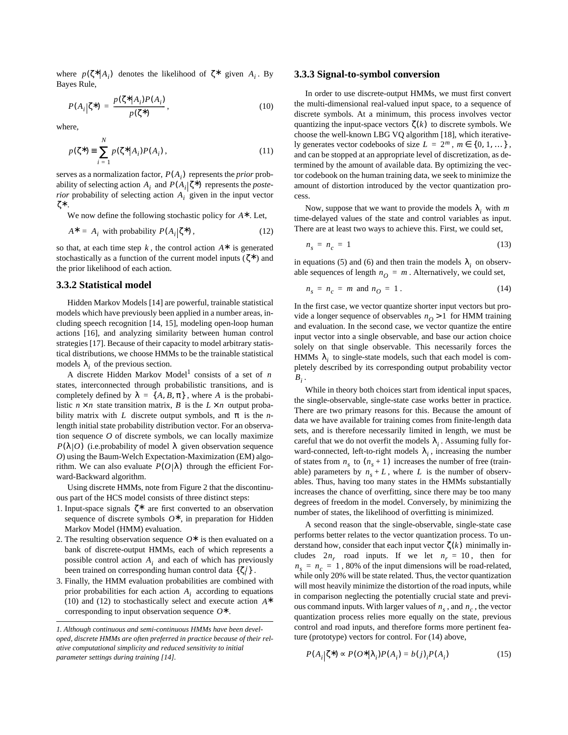<span id="page-3-0"></span>where  $p(\zeta^*|A_i)$  denotes the likelihood of  $\zeta^*$  given  $A_i$ . By Bayes Rule,

$$
P(A_i|\zeta^*) = \frac{p(\zeta^*|A_i)P(A_i)}{p(\zeta^*)},
$$
\n(10)

where,

$$
p(\zeta^*) = \sum_{i=1}^{N} p(\zeta^* | A_i) P(A_i),
$$
 (11)

serves as a normalization factor,  $P(A_i)$  represents the *prior* probability of selecting action  $A_i$  and  $P(A_i | \zeta^*)$  represents the *posterior* probability of selecting action  $A_i$  given in the input vector . ζ∗

We now define the following stochastic policy for  $A^*$ . Let,

$$
A^* = A_i \text{ with probability } P(A_i | \zeta^*) \,, \tag{12}
$$

so that, at each time step  $k$ , the control action  $A^*$  is generated stochastically as a function of the current model inputs  $(\zeta^*)$  and the prior likelihood of each action.

# **3.3.2 Statistical model**

Hidden Markov Models [\[14\]](#page-8-0) are powerful, trainable statistical models which have previously been applied in a number areas, including speech recognition [[14,](#page-8-0) [15\]](#page-8-0), modeling open-loop human actions [\[16\],](#page-8-0) and analyzing similarity between human control strategies [\[17\].](#page-8-0) Because of their capacity to model arbitrary statistical distributions, we choose HMMs to be the trainable statistical models  $\lambda_i$  of the previous section.

A discrete Hidden Markov Model<sup>1</sup> consists of a set of *n* states, interconnected through probabilistic transitions, and is completely defined by  $\lambda = \{A, B, \pi\}$ , where A is the probabilistic  $n \times n$  state transition matrix, B is the  $L \times n$  output probability matrix with L discrete output symbols, and  $\pi$  is the *n*length initial state probability distribution vector. For an observation sequence *O* of discrete symbols, we can locally maximize  $P(\lambda|O)$  (i.e.probability of model  $\lambda$  given observation sequence *O*) using the Baum-Welch Expectation-Maximization (EM) algorithm. We can also evaluate  $P(O|\lambda)$  through the efficient Forward-Backward algorithm.

Using discrete HMMs, note from [Figure 2](#page-2-0) that the discontinuous part of the HCS model consists of three distinct steps:

- 1. Input-space signals  $\zeta^*$  are first converted to an observation sequence of discrete symbols  $O$ <sup>∗</sup>, in preparation for Hidden Markov Model (HMM) evaluation.
- 2. The resulting observation sequence  $O^*$  is then evaluated on a bank of discrete-output HMMs, each of which represents a possible control action  $A_i$  and each of which has previously been trained on corresponding human control data  $\{\zeta_i^j\}$ .
- 3. Finally, the HMM evaluation probabilities are combined with prior probabilities for each action  $A_i$  according to equations (10) and (12) to stochastically select and execute action *A*∗ corresponding to input observation sequence  $O^*$ .

#### **3.3.3 Signal-to-symbol conversion**

In order to use discrete-output HMMs, we must first convert the multi-dimensional real-valued input space, to a sequence of discrete symbols. At a minimum, this process involves vector quantizing the input-space vectors  $\zeta(k)$  to discrete symbols. We choose the well-known LBG VQ algorithm [\[18\]](#page-8-0), which iteratively generates vector codebooks of size  $L = 2^m$ ,  $m \in \{0, 1, ...\}$ , and can be stopped at an appropriate level of discretization, as determined by the amount of available data. By optimizing the vector codebook on the human training data, we seek to minimize the amount of distortion introduced by the vector quantization process.

Now, suppose that we want to provide the models  $\lambda_i$  with m time-delayed values of the state and control variables as input. There are at least two ways to achieve this. First, we could set,

$$
n_s = n_c = 1 \tag{13}
$$

in equations [\(5\)](#page-2-0) and [\(6\)](#page-2-0) and then train the models  $\lambda_i$  on observable sequences of length  $n_Q = m$ . Alternatively, we could set,

$$
n_s = n_c = m \text{ and } n_O = 1. \tag{14}
$$

In the first case, we vector quantize shorter input vectors but provide a longer sequence of observables  $n_Q > 1$  for HMM training and evaluation. In the second case, we vector quantize the entire input vector into a single observable, and base our action choice solely on that single observable. This necessarily forces the HMMs  $\lambda_i$  to single-state models, such that each model is completely described by its corresponding output probability vector  $B_i$ .

While in theory both choices start from identical input spaces, the single-observable, single-state case works better in practice. There are two primary reasons for this. Because the amount of data we have available for training comes from finite-length data sets, and is therefore necessarily limited in length, we must be careful that we do not overfit the models  $\lambda_i$ . Assuming fully forward-connected, left-to-right models  $\lambda_i$ , increasing the number of states from  $n_s$  to  $(n_s + 1)$  increases the number of free (trainable) parameters by  $n_s + L$ , where L is the number of observables. Thus, having too many states in the HMMs substantially increases the chance of overfitting, since there may be too many degrees of freedom in the model. Conversely, by minimizing the number of states, the likelihood of overfitting is minimized.

A second reason that the single-observable, single-state case performs better relates to the vector quantization process. To understand how, consider that each input vector  $\zeta(k)$  minimally includes  $2n_r$  road inputs. If we let  $n_r = 10$ , then for  $n_s = n_c = 1$ , 80% of the input dimensions will be road-related, while only 20% will be state related. Thus, the vector quantization will most heavily minimize the distortion of the road inputs, while in comparison neglecting the potentially crucial state and previous command inputs. With larger values of  $n<sub>s</sub>$ , and  $n<sub>c</sub>$ , the vector quantization process relies more equally on the state, previous control and road inputs, and therefore forms more pertinent feature (prototype) vectors for control. For (14) above,

$$
P(A_i|\zeta^*) \propto P(O^*|\lambda_i)P(A_i) = b(j)_i P(A_i)
$$
\n(15)

*<sup>1.</sup> Although continuous and semi-continuous HMMs have been developed, discrete HMMs are often preferred in practice because of their relative computational simplicity and reduced sensitivity to initial parameter settings during training [\[14\].](#page-8-0)*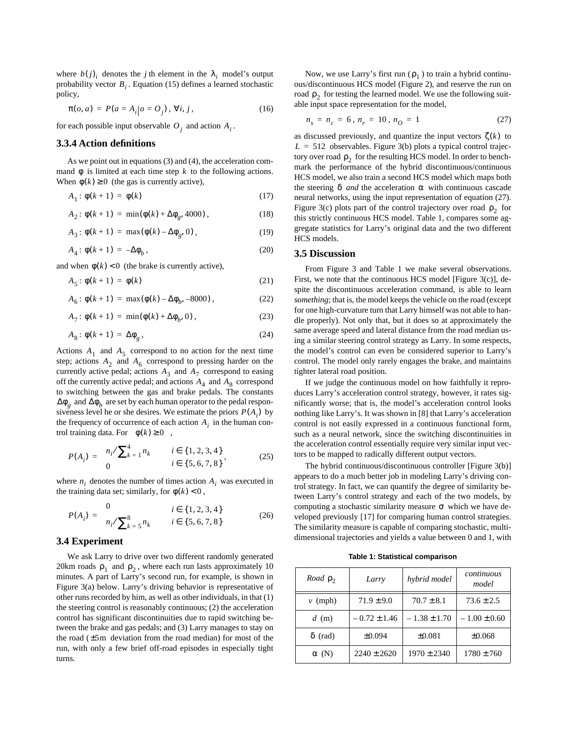<span id="page-4-0"></span>where  $b(j)$ <sub>*i*</sub> denotes the *j* th element in the  $\lambda$ <sub>*i*</sub> model's output probability vector  $B_i$ . Equation [\(15\)](#page-3-0) defines a learned stochastic policy,

$$
\pi(o, a) = P(a = A_i | o = O_j), \forall i, j,
$$
\n(16)

for each possible input observable  $O_j$  and action  $A_i$ .

# **3.3.4 Action definitions**

As we point out in equations [\(3\)](#page-1-0) and [\(4\),](#page-1-0) the acceleration command  $\phi$  is limited at each time step k to the following actions. When  $\phi(k) \ge 0$  (the gas is currently active),

$$
A_1: \phi(k+1) = \phi(k) \tag{17}
$$

$$
A_2: \phi(k+1) = \min(\phi(k) + \Delta\phi_g, 4000), \qquad (18)
$$

$$
A_3: \phi(k+1) = \max(\phi(k) - \Delta\phi_g, 0), \qquad (19)
$$

$$
A_4: \phi(k+1) = -\Delta\phi_b, \qquad (20)
$$

and when  $\phi(k) < 0$  (the brake is currently active),

$$
A_5: \phi(k+1) = \phi(k) \tag{21}
$$

$$
A_6: \phi(k+1) = \max(\phi(k) - \Delta\phi_b, -8000), \qquad (22)
$$

$$
A_7: \phi(k+1) = \min(\phi(k) + \Delta\phi_b, 0), \qquad (23)
$$

$$
A_8: \phi(k+1) = \Delta \phi_g, \qquad (24)
$$

Actions  $A_1$  and  $A_5$  correspond to no action for the next time step; actions  $A_2$  and  $A_6$  correspond to pressing harder on the currently active pedal; actions  $A_3$  and  $A_7$  correspond to easing off the currently active pedal; and actions  $A_4$  and  $A_8$  correspond to switching between the gas and brake pedals. The constants  $\Delta\phi$ <sub>g</sub> and  $\Delta\phi$ <sub>*b*</sub> are set by each human operator to the pedal responsiveness level he or she desires. We estimate the priors  $P(A_i)$  by the frequency of occurrence of each action  $A_i$  in the human control training data. For  $\phi(k) \ge 0$ ,

$$
P(A_i) = \begin{cases} n_i / \sum_{k=1}^4 n_k & i \in \{1, 2, 3, 4\} \\ 0 & i \in \{5, 6, 7, 8\} \end{cases} \tag{25}
$$

where  $n_i$  denotes the number of times action  $A_i$  was executed in the training data set; similarly, for  $\phi(k) < 0$ ,

$$
P(A_i) = \begin{cases} 0 & i \in \{1, 2, 3, 4\} \\ n_i / \sum_{k=5}^{8} n_k & i \in \{5, 6, 7, 8\} \end{cases}
$$
(26)

### **3.4 Experiment**

We ask Larry to drive over two different randomly generated 20km roads  $\rho_1$  and  $\rho_2$ , where each run lasts approximately 10 minutes. A part of Larry's second run, for example, is shown in [Figure 3\(](#page-5-0)a) below. Larry's driving behavior is representative of other runs recorded by him, as well as other individuals, in that (1) the steering control is reasonably continuous; (2) the acceleration control has significant discontinuities due to rapid switching between the brake and gas pedals; and (3) Larry manages to stay on the road  $(\pm 5m$  deviation from the road median) for most of the run, with only a few brief off-road episodes in especially tight turns.

Now, we use Larry's first run  $(\rho_1)$  to train a hybrid continuous/discontinuous HCS model ([Figure 2\)](#page-2-0), and reserve the run on road  $\rho_2$  for testing the learned model. We use the following suitable input space representation for the model,

$$
n_s = n_c = 6, n_r = 10, n_O = 1 \tag{27}
$$

as discussed previously, and quantize the input vectors  $\zeta(k)$  to  $L = 512$  observables. [Figure 3](#page-5-0)(b) plots a typical control trajectory over road  $\rho_2^{}$  for the resulting HCS model. In order to benchmark the performance of the hybrid discontinuous/continuous HCS model, we also train a second HCS model which maps both the steering  $\delta$  *and* the acceleration  $\alpha$  with continuous cascade neural networks, using the input representation of equation (27). [Figure 3](#page-5-0)(c) plots part of the control trajectory over road  $\rho_2$  for this strictly continuous HCS model. Table 1, compares some aggregate statistics for Larry's original data and the two different HCS models.

# **3.5 Discussion**

From [Figure 3](#page-5-0) and Table 1 we make several observations. First, we note that the continuous HCS model [[Figure 3\(](#page-5-0)c)], despite the discontinuous acceleration command, is able to learn *something*; that is, the model keeps the vehicle on the road (except for one high-curvature turn that Larry himself was not able to handle properly). Not only that, but it does so at approximately the same average speed and lateral distance from the road median using a similar steering control strategy as Larry. In some respects, the model's control can even be considered superior to Larry's control. The model only rarely engages the brake, and maintains tighter lateral road position.

If we judge the continuous model on how faithfully it reproduces Larry's acceleration control strategy, however, it rates significantly worse; that is, the model's acceleration control looks nothing like Larry's. It was shown in [\[8\]](#page-8-0) that Larry's acceleration control is not easily expressed in a continuous functional form, such as a neural network, since the switching discontinuities in the acceleration control essentially require very similar input vectors to be mapped to radically different output vectors.

The hybrid continuous/discontinuous controller [\[Figure 3\(](#page-5-0)b)] appears to do a much better job in modeling Larry's driving control strategy. In fact, we can quantify the degree of similarity between Larry's control strategy and each of the two models, by computing a stochastic similarity measure  $\sigma$  which we have developed previously [\[17\]](#page-8-0) for comparing human control strategies. The similarity measure is capable of comparing stochastic, multidimensional trajectories and yields a value between 0 and 1, with

**Table 1: Statistical comparison**

| Road $\rho_{\gamma}$ | Larry            | hybrid model     | continuous<br>model |
|----------------------|------------------|------------------|---------------------|
| $\nu$ (mph)          | $71.9 \pm 9.0$   | $70.7 \pm 8.1$   | $73.6 \pm 2.5$      |
| $d$ (m)              | $-0.72 \pm 1.46$ | $-1.38 \pm 1.70$ | $-1.00 \pm 0.60$    |
| $\delta$ (rad)       | ±0.094           | ±0.081           | ±0.068              |
| $\alpha$ (N)         | $2240 \pm 2620$  | $1970 \pm 2340$  | $1780 \pm 760$      |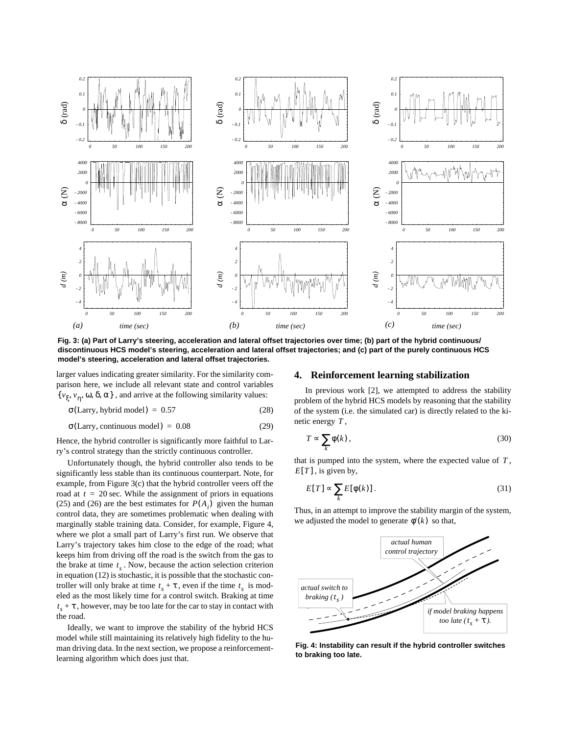<span id="page-5-0"></span>

**Fig. 3: (a) Part of Larry's steering, acceleration and lateral offset trajectories over time; (b) part of the hybrid continuous/ discontinuous HCS model's steering, acceleration and lateral offset trajectories; and (c) part of the purely continuous HCS model's steering, acceleration and lateral offset trajectories.**

larger values indicating greater similarity. For the similarity comparison here, we include all relevant state and control variables { $v_{\xi}$ ,  $v_{\eta}$ ,  $\omega$ ,  $\delta$ ,  $\alpha$ }, and arrive at the following similarity values:

(28)  $\sigma$ (Larry, hybrid model) = 0.57

(29)  $\sigma$ (Larry, continuous model) = 0.08

Hence, the hybrid controller is significantly more faithful to Larry's control strategy than the strictly continuous controller.

Unfortunately though, the hybrid controller also tends to be significantly less stable than its continuous counterpart. Note, for example, from Figure 3(c) that the hybrid controller veers off the road at  $t = 20$  sec. While the assignment of priors in equations [\(25\)](#page-4-0) and [\(26\)](#page-4-0) are the best estimates for  $P(A_i)$  given the human control data, they are sometimes problematic when dealing with marginally stable training data. Consider, for example, Figure 4, where we plot a small part of Larry's first run. We observe that Larry's trajectory takes him close to the edge of the road; what keeps him from driving off the road is the switch from the gas to the brake at time  $t_s$ . Now, because the action selection criterion in equation [\(12\)](#page-3-0) is stochastic, it is possible that the stochastic controller will only brake at time  $t_s + \tau$ , even if the time  $t_s$  is modeled as the most likely time for a control switch. Braking at time , however, may be too late for the car to stay in contact with *ts* + τ the road.

Ideally, we want to improve the stability of the hybrid HCS model while still maintaining its relatively high fidelity to the human driving data. In the next section, we propose a reinforcementlearning algorithm which does just that.

#### **4. Reinforcement learning stabilization**

In previous work [\[2\]](#page-8-0), we attempted to address the stability problem of the hybrid HCS models by reasoning that the stability of the system (i.e. the simulated car) is directly related to the kinetic energy  $T$ ,

$$
T \propto \sum_{k} \phi(k) \,, \tag{30}
$$

that is pumped into the system, where the expected value of  $T$ ,  $E[T]$ , is given by,

$$
E[T] \propto \sum_{k} E[\phi(k)]. \tag{31}
$$

Thus, in an attempt to improve the stability margin of the system, we adjusted the model to generate  $\phi'(k)$  so that,



**Fig. 4: Instability can result if the hybrid controller switches to braking too late.**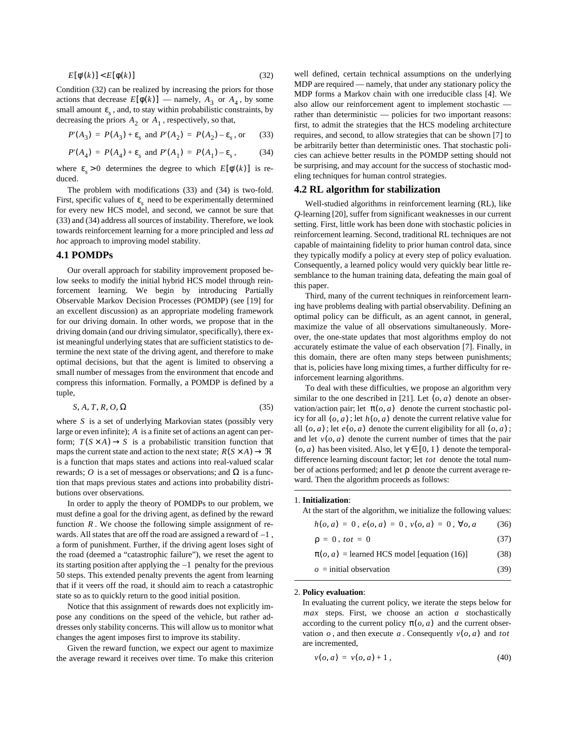<span id="page-6-0"></span>
$$
E[\phi'(k)] < E[\phi(k)]\tag{32}
$$

Condition (32) can be realized by increasing the priors for those actions that decrease  $E[\phi(k)]$  — namely,  $A_3$  or  $A_4$ , by some small amount  $\varepsilon_s$ , and, to stay within probabilistic constraints, by decreasing the priors  $A_2$  or  $A_1$ , respectively, so that,

$$
P'(A_3) = P(A_3) + \varepsilon_s \text{ and } P'(A_2) = P(A_2) - \varepsilon_s \text{, or } (33)
$$

$$
P'(A_4) = P(A_4) + \varepsilon_s
$$
 and  $P'(A_1) = P(A_1) - \varepsilon_s$ , (34)

where  $\varepsilon_s > 0$  determines the degree to which  $E[\phi'(k)]$  is reduced.

The problem with modifications (33) and (34) is two-fold. First, specific values of  $\varepsilon$ <sub>s</sub> need to be experimentally determined for every new HCS model, and second, we cannot be sure that (33) and (34) address all sources of instability. Therefore, we look towards reinforcement learning for a more principled and less *ad hoc* approach to improving model stability.

# **4.1 POMDPs**

Our overall approach for stability improvement proposed below seeks to modify the initial hybrid HCS model through reinforcement learning. We begin by introducing Partially Observable Markov Decision Processes (POMDP) (see [\[19\]](#page-8-0) for an excellent discussion) as an appropriate modeling framework for our driving domain. In other words, we propose that in the driving domain (and our driving simulator, specifically), there exist meaningful underlying states that are sufficient statistics to determine the next state of the driving agent, and therefore to make optimal decisions, but that the agent is limited to observing a small number of messages from the environment that encode and compress this information. Formally, a POMDP is defined by a tuple,

$$
\langle S, A, T, R, O, \Omega \rangle \tag{35}
$$

where S is a set of underlying Markovian states (possibly very large or even infinite); A is a finite set of actions an agent can perform;  $T(S \times A) \rightarrow S$  is a probabilistic transition function that maps the current state and action to the next state;  $R(S \times A) \rightarrow \Re$ is a function that maps states and actions into real-valued scalar rewards; O is a set of messages or observations; and  $\Omega$  is a function that maps previous states and actions into probability distributions over observations.

In order to apply the theory of POMDPs to our problem, we must define a goal for the driving agent, as defined by the reward function  $R$ . We choose the following simple assignment of rewards. All states that are off the road are assigned a reward of  $-1$ , a form of punishment. Further, if the driving agent loses sight of the road (deemed a "catastrophic failure"), we reset the agent to its starting position after applying the  $-1$  penalty for the previous 50 steps. This extended penalty prevents the agent from learning that if it veers off the road, it should aim to reach a catastrophic state so as to quickly return to the good initial position.

Notice that this assignment of rewards does not explicitly impose any conditions on the speed of the vehicle, but rather addresses only stability concerns. This will allow us to monitor what changes the agent imposes first to improve its stability.

Given the reward function, we expect our agent to maximize the average reward it receives over time. To make this criterion

well defined, certain technical assumptions on the underlying MDP are required — namely, that under any stationary policy the MDP forms a Markov chain with one irreducible class [\[4\].](#page-8-0) We also allow our reinforcement agent to implement stochastic rather than deterministic — policies for two important reasons: first, to admit the strategies that the HCS modeling architecture requires, and second, to allow strategies that can be shown [\[7\]](#page-8-0) to be arbitrarily better than deterministic ones. That stochastic policies can achieve better results in the POMDP setting should not be surprising, and may account for the success of stochastic modeling techniques for human control strategies.

## **4.2 RL algorithm for stabilization**

Well-studied algorithms in reinforcement learning (RL), like *Q*-learning [\[20\]](#page-8-0), suffer from significant weaknesses in our current setting. First, little work has been done with stochastic policies in reinforcement learning. Second, traditional RL techniques are not capable of maintaining fidelity to prior human control data, since they typically modify a policy at every step of policy evaluation. Consequently, a learned policy would very quickly bear little resemblance to the human training data, defeating the main goal of this paper.

Third, many of the current techniques in reinforcement learning have problems dealing with partial observability. Defining an optimal policy can be difficult, as an agent cannot, in general, maximize the value of all observations simultaneously. Moreover, the one-state updates that most algorithms employ do not accurately estimate the value of each observation [\[7\]](#page-8-0). Finally, in this domain, there are often many steps between punishments; that is, policies have long mixing times, a further difficulty for reinforcement learning algorithms.

To deal with these difficulties, we propose an algorithm very similar to the one described in [\[21\].](#page-8-0) Let  $(o, a)$  denote an observation/action pair; let  $\pi(o, a)$  denote the current stochastic policy for all  $(o, a)$ ; let  $h(o, a)$  denote the current relative value for all  $(o, a)$ ; let  $e(o, a)$  denote the current eligibility for all  $(o, a)$ ; and let  $v(o, a)$  denote the current number of times that the pair  $(o, a)$  has been visited. Also, let  $\gamma \in [0, 1)$  denote the temporaldifference learning discount factor; let tot denote the total number of actions performed; and let  $\rho$  denote the current average reward. Then the algorithm proceeds as follows:

#### 1. **Initialization**:

At the start of the algorithm, we initialize the following values:

$$
h(o, a) = 0, e(o, a) = 0, v(o, a) = 0, \forall o, a
$$
 (36)

$$
\rho = 0, \, tot = 0 \tag{37}
$$

| $\pi(o, a)$ = learned HCS model [equation (16)] | (38) |
|-------------------------------------------------|------|
| $\rho$ = initial observation                    | (39) |

## 2. **Policy evaluation**:

In evaluating the current policy, we iterate the steps below for  $max$  steps. First, we choose an action  $a$  stochastically according to the current policy  $\pi(o, a)$  and the current observation  $o$ , and then execute  $a$ . Consequently  $v(o, a)$  and tot are incremented,

$$
v(o, a) = v(o, a) + 1,
$$
\n(40)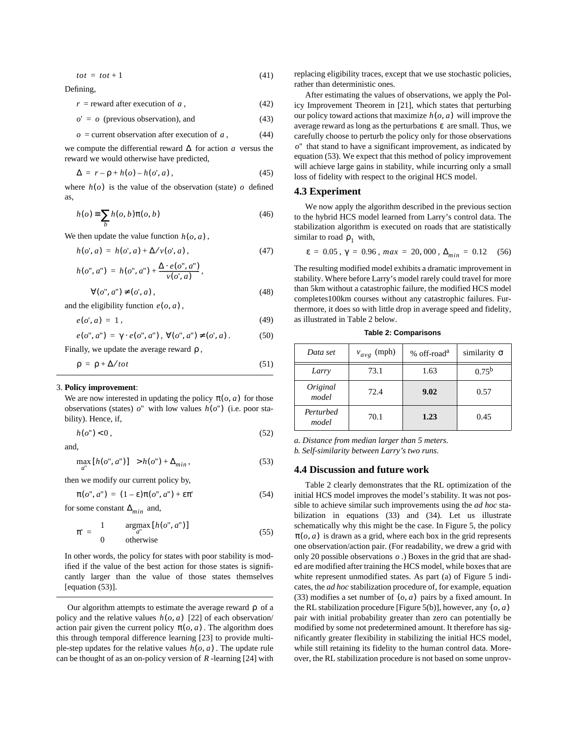$$
tot = tot + 1 \tag{41}
$$

Defining,

 $r =$  reward after execution of a,  $(42)$ 

$$
o' = o \text{ (previous observation), and} \tag{43}
$$

$$
o = current observation after execution of a,
$$
 (44)

we compute the differential reward  $\Delta$  for action a versus the reward we would otherwise have predicted,

$$
\Delta = r - \rho + h(o) - h(o', a) \,, \tag{45}
$$

where  $h(o)$  is the value of the observation (state) o defined as,

$$
h(o) \equiv \sum_{b} h(o, b)\pi(o, b)
$$
\n(46)

We then update the value function  $h(o, a)$ ,

$$
h(o', a) = h(o', a) + \Delta / v(o', a), \qquad (47)
$$

$$
h(o", a") = h(o", a") + \frac{\Delta \cdot e(o", a")}{v(o', a)},
$$

$$
\forall (o'', a'') \neq (o', a), \tag{48}
$$

and the eligibility function  $e(o, a)$ ,

$$
e(o', a) = 1, \tag{49}
$$

$$
e(o'', a'') = \gamma \cdot e(o'', a''), \ \forall (o'', a'') \neq (o', a). \tag{50}
$$

Finally, we update the average reward  $\rho$ ,

$$
\rho = \rho + \Delta / tot
$$

#### 3. **Policy improvement**:

We are now interested in updating the policy  $\pi(o, a)$  for those observations (states)  $o''$  with low values  $h(o'')$  (i.e. poor stability). Hence, if,

$$
h(o") < 0 \tag{52}
$$

and,

$$
\max_{a''} [h(o'', a'')] > h(o'') + \Delta_{min},
$$
\n(53)

then we modify our current policy by,

$$
\pi(o'', a'') = (1 - \varepsilon)\pi(o'', a'') + \varepsilon\pi'
$$
\n(54)

for some constant  $\Delta_{min}$  and,

$$
\pi' = \begin{cases} 1 & \arg\max_{a''} [h(o'', a'')] \\ 0 & \text{otherwise} \end{cases}
$$
 (55)

In other words, the policy for states with poor stability is modified if the value of the best action for those states is significantly larger than the value of those states themselves [equation (53)].

Our algorithm attempts to estimate the average reward  $\rho$  of a policy and the relative values  $h(o, a)$  [\[22\]](#page-8-0) of each observation/ action pair given the current policy  $\pi(o, a)$ . The algorithm does this through temporal difference learning [\[23\]](#page-8-0) to provide multiple-step updates for the relative values  $h(o, a)$ . The update rule can be thought of as an on-policy version of  $R$ -learning [\[24\]](#page-8-0) with

replacing eligibility traces, except that we use stochastic policies, rather than deterministic ones.

After estimating the values of observations, we apply the Policy Improvement Theorem in [\[21\],](#page-8-0) which states that perturbing our policy toward actions that maximize  $h(o, a)$  will improve the average reward as long as the perturbations  $\varepsilon$  are small. Thus, we carefully choose to perturb the policy only for those observations  $o$ <sup>"</sup> that stand to have a significant improvement, as indicated by equation (53). We expect that this method of policy improvement will achieve large gains in stability, while incurring only a small loss of fidelity with respect to the original HCS model.

#### **4.3 Experiment**

(51)

We now apply the algorithm described in the previous section to the hybrid HCS model learned from Larry's control data. The stabilization algorithm is executed on roads that are statistically similar to road  $\rho_1$  with,

$$
\varepsilon = 0.05 \, , \, \gamma = 0.96 \, , \, max = 20,000 \, , \, \Delta_{min} = 0.12 \quad (56)
$$

The resulting modified model exhibits a dramatic improvement in stability. Where before Larry's model rarely could travel for more than 5km without a catastrophic failure, the modified HCS model completes100km courses without any catastrophic failures. Furthermore, it does so with little drop in average speed and fidelity, as illustrated in Table 2 below.

**Table 2: Comparisons**

| Data set           | $v_{avg}$ (mph) | % off-road <sup>a</sup> | similarity $\sigma$ |
|--------------------|-----------------|-------------------------|---------------------|
| Larry              | 73.1            | 1.63                    | $0.75^{\rm b}$      |
| Original<br>model  | 72.4            | 9.02                    | 0.57                |
| Perturbed<br>model | 70.1            | 1.23                    | 0.45                |

*a. Distance from median larger than 5 meters.*

*b. Self-similarity between Larry's two runs.*

#### **4.4 Discussion and future work**

Table 2 clearly demonstrates that the RL optimization of the initial HCS model improves the model's stability. It was not possible to achieve similar such improvements using the *ad hoc* stabilization in equations [\(33\)](#page-6-0) and [\(34\).](#page-6-0) Let us illustrate schematically why this might be the case. In [Figure 5,](#page-8-0) the policy  $\pi$ ( $o$ ,  $a$ ) is drawn as a grid, where each box in the grid represents one observation/action pair. (For readability, we drew a grid with only 20 possible observations  $o$ .) Boxes in the grid that are shaded are modified after training the HCS model, while boxes that are white represent unmodified states. As part (a) of [Figure 5](#page-8-0) indicates, the *ad hoc* stabilization procedure of, for example, equation [\(33\)](#page-6-0) modifies a set number of  $(o, a)$  pairs by a fixed amount. In the RL stabilization procedure [Figure  $5(b)$ ], however, any  $(o, a)$ pair with initial probability greater than zero can potentially be modified by some not predetermined amount. It therefore has significantly greater flexibility in stabilizing the initial HCS model, while still retaining its fidelity to the human control data. Moreover, the RL stabilization procedure is not based on some unprov-